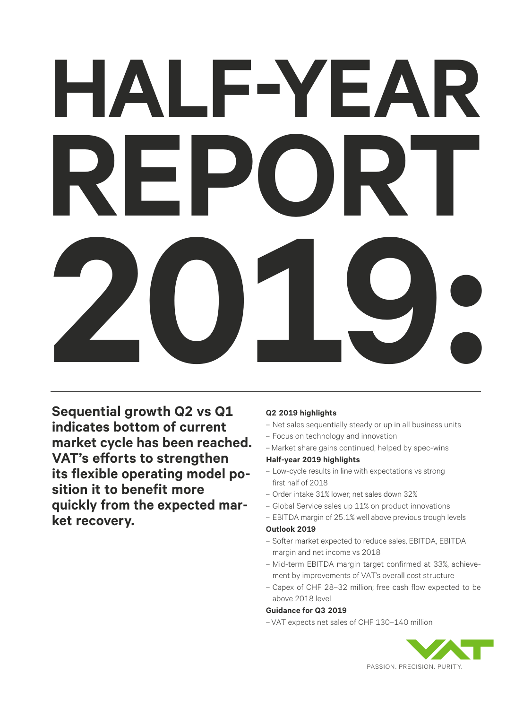# **HALF-YEAR REPORT 2019:**

**Sequential growth Q2 vs Q1 indicates bottom of current market cycle has been reached. VAT's efforts to strengthen its flexible operating model position it to benefit more quickly from the expected mar ket recovery.**

### **Q2 2019 highlights**

- Net sales sequentially steady or up in all business units
- Focus on technology and innovation
- –Market share gains continued, helped by spec-wins

### **Half-year 2019 highlights**

- Low-cycle results in line with expectations vs strong first half of 2018
- Order intake 31% lower; net sales down 32%
- Global Service sales up 11% on product innovations
- EBITDA margin of 25.1% well above previous trough levels

### **Outlook 2019**

- Softer market expected to reduce sales, EBITDA, EBITDA margin and net income vs 2018
- Mid-term EBITDA margin target confirmed at 33%, achievement by improvements of VAT's overall cost structure
- Capex of CHF 28–32 million; free cash flow expected to be above 2018 level

### **Guidance for Q3 2019**

– VAT expects net sales of CHF 130–140 million

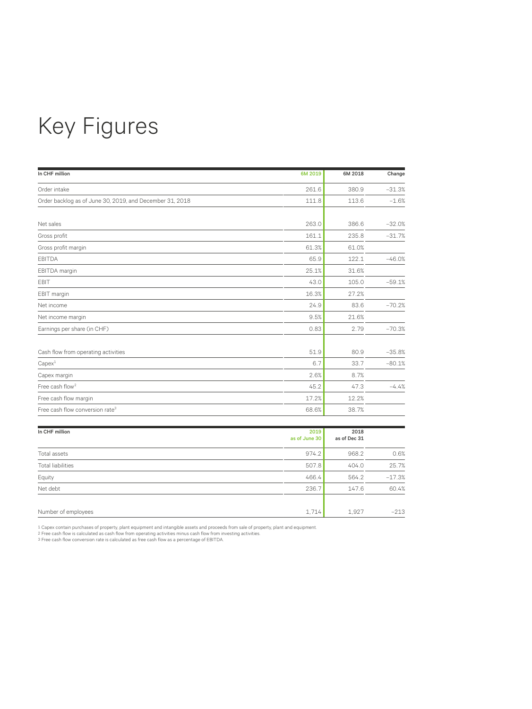# Key Figures

| In CHF million                                           | 6M 2019 | 6M 2018 | Change   |
|----------------------------------------------------------|---------|---------|----------|
| Order intake                                             | 261.6   | 380.9   | $-31.3%$ |
| Order backlog as of June 30, 2019, and December 31, 2018 | 111.8   | 113.6   | $-1.6%$  |
|                                                          |         |         |          |
| Net sales                                                | 263.0   | 386.6   | $-32.0%$ |
| Gross profit                                             | 161.1   | 235.8   | $-31.7%$ |
| Gross profit margin                                      | 61.3%   | 61.0%   |          |
| <b>EBITDA</b>                                            | 65.9    | 122.1   | $-46.0%$ |
| EBITDA margin                                            | 25.1%   | 31.6%   |          |
| EBIT                                                     | 43.0    | 105.0   | $-59.1%$ |
| EBIT margin                                              | 16.3%   | 27.2%   |          |
| Net income                                               | 24.9    | 83.6    | $-70.2%$ |
| Net income margin                                        | 9.5%    | 21.6%   |          |
| Earnings per share (in CHF)                              | 0.83    | 2.79    | $-70.3%$ |
| Cash flow from operating activities                      | 51.9    | 80.9    | $-35.8%$ |
| Capex <sup>1</sup>                                       | 6.7     | 33.7    | $-80.1%$ |
| Capex margin                                             | 2.6%    | 8.7%    |          |
| Free cash flow <sup>2</sup>                              | 45.2    | 47.3    | $-4.4%$  |
| Free cash flow margin                                    | 17.2%   | 12.2%   |          |
| Free cash flow conversion rate <sup>3</sup>              | 68.6%   | 38.7%   |          |

| In CHF million           | 2019<br>as of June 30 | 2018<br>as of Dec 31 |          |
|--------------------------|-----------------------|----------------------|----------|
|                          |                       |                      |          |
| Total assets             | 974.2                 | 968.2                | 0.6%     |
| <b>Total liabilities</b> | 507.8                 | 404.0                | 25.7%    |
| Equity                   | 466.4                 | 564.2                | $-17.3%$ |
| Net debt                 | 236.7                 | 147.6                | 60.4%    |
| Number of employees      | 1,714                 | 1,927                | $-213$   |

1 Capex contain purchases of property, plant equipment and intangible assets and proceeds from sale of property, plant and equipment<br>2 Free cash flow is calculated as cash flow from operating activities minus cash flow fro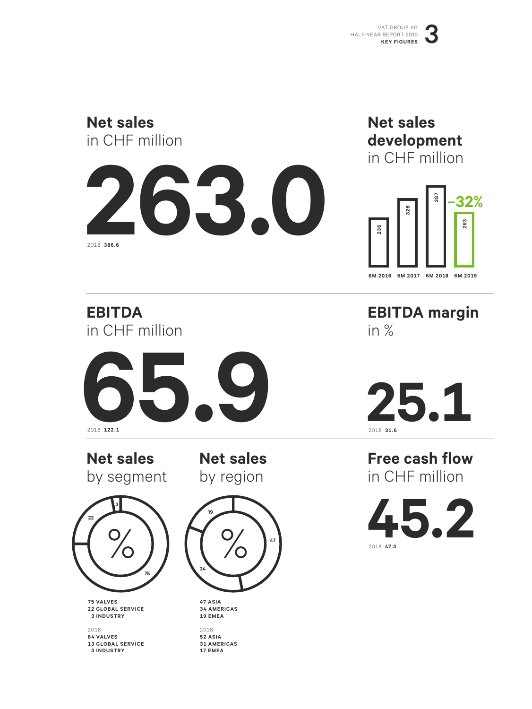# **Net sales** in CHF million



## **Net sales development** in CHF million



**EBITDA** in CHF million



**Net sales**  by segment

**Net sales**  by region



**75 VALVES 22 GLOBAL SERVICE 3 INDUSTRY**

2018 **84 VALVES 13 GLOBAL SERVICE 3 INDUSTRY**



**47 ASIA 34 AMERICAS 19 EMEA**

2018 **52 ASIA 31 AMERICAS 17 EMEA**

**EBITDA margin** in %

**25.1**

**Free cash flow** in CHF million

**45.2** 2018 **47.3**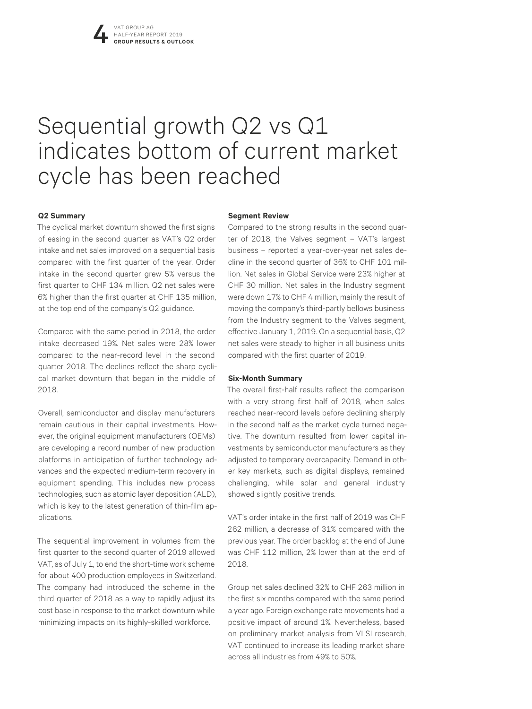# Sequential growth Q2 vs Q1 indicates bottom of current market cycle has been reached

### **Q2 Summary**

The cyclical market downturn showed the first signs of easing in the second quarter as VAT's Q2 order intake and net sales improved on a sequential basis compared with the first quarter of the year. Order intake in the second quarter grew 5% versus the first quarter to CHF 134 million. Q2 net sales were 6% higher than the first quarter at CHF 135 million, at the top end of the company's Q2 guidance.

Compared with the same period in 2018, the order intake decreased 19%. Net sales were 28% lower compared to the near-record level in the second quarter 2018. The declines reflect the sharp cyclical market downturn that began in the middle of 2018.

Overall, semiconductor and display manufacturers remain cautious in their capital investments. However, the original equipment manufacturers (OEMs) are developing a record number of new production platforms in anticipation of further technology advances and the expected medium-term recovery in equipment spending. This includes new process technologies, such as atomic layer deposition (ALD), which is key to the latest generation of thin-film applications.

The sequential improvement in volumes from the first quarter to the second quarter of 2019 allowed VAT, as of July 1, to end the short-time work scheme for about 400 production employees in Switzerland. The company had introduced the scheme in the third quarter of 2018 as a way to rapidly adjust its cost base in response to the market downturn while minimizing impacts on its highly-skilled workforce.

### **Segment Review**

Compared to the strong results in the second quarter of 2018, the Valves segment – VAT's largest business – reported a year-over-year net sales decline in the second quarter of 36% to CHF 101 million. Net sales in Global Service were 23% higher at CHF 30 million. Net sales in the Industry segment were down 17% to CHF 4 million, mainly the result of moving the company's third-partly bellows business from the Industry segment to the Valves segment, effective January 1, 2019. On a sequential basis, Q2 net sales were steady to higher in all business units compared with the first quarter of 2019.

### **Six-Month Summary**

The overall first-half results reflect the comparison with a very strong first half of 2018, when sales reached near-record levels before declining sharply in the second half as the market cycle turned negative. The downturn resulted from lower capital investments by semiconductor manufacturers as they adjusted to temporary overcapacity. Demand in other key markets, such as digital displays, remained challenging, while solar and general industry showed slightly positive trends.

VAT's order intake in the first half of 2019 was CHF 262 million, a decrease of 31% compared with the previous year. The order backlog at the end of June was CHF 112 million, 2% lower than at the end of 2018.

Group net sales declined 32% to CHF 263 million in the first six months compared with the same period a year ago. Foreign exchange rate movements had a positive impact of around 1%. Nevertheless, based on preliminary market analysis from VLSI research, VAT continued to increase its leading market share across all industries from 49% to 50%.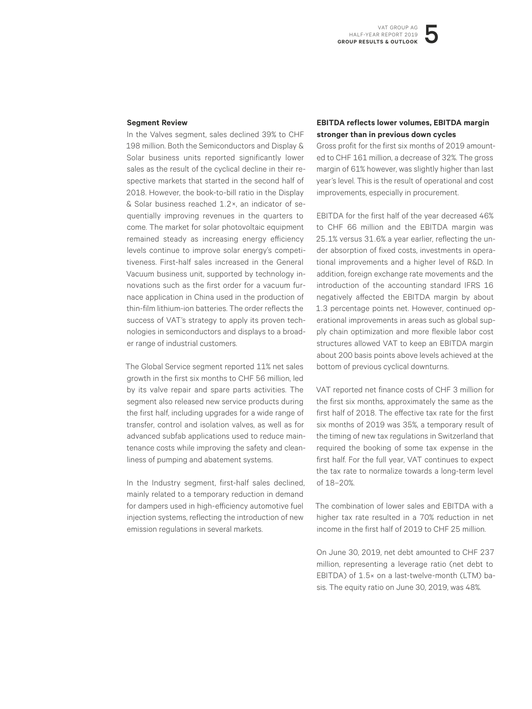### **Segment Review**

In the Valves segment, sales declined 39% to CHF 198 million. Both the Semiconductors and Display & Solar business units reported significantly lower sales as the result of the cyclical decline in their respective markets that started in the second half of 2018. However, the book-to-bill ratio in the Display & Solar business reached 1.2 ×, an indicator of sequentially improving revenues in the quarters to come. The market for solar photovoltaic equipment remained steady as increasing energy efficiency levels continue to improve solar energy's competitiveness. First-half sales increased in the General Vacuum business unit, supported by technology innovations such as the first order for a vacuum furnace application in China used in the production of thin-film lithium-ion batteries. The order reflects the success of VAT's strategy to apply its proven technologies in semiconductors and displays to a broader range of industrial customers.

The Global Service segment reported 11% net sales growth in the first six months to CHF 56 million, led by its valve repair and spare parts activities. The segment also released new service products during the first half, including upgrades for a wide range of transfer, control and isolation valves, as well as for advanced subfab applications used to reduce maintenance costs while improving the safety and cleanliness of pumping and abatement systems.

In the Industry segment, first-half sales declined, mainly related to a temporary reduction in demand for dampers used in high-efficiency automotive fuel injection systems, reflecting the introduction of new emission regulations in several markets.

### **EBITDA reflects lower volumes, EBITDA margin stronger than in previous down cycles**

Gross profit for the first six months of 2019 amounted to CHF 161 million, a decrease of 32%. The gross margin of 61% however, was slightly higher than last year's level. This is the result of operational and cost improvements, especially in procurement.

EBITDA for the first half of the year decreased 46% to CHF 66 million and the EBITDA margin was 25.1% versus 31.6% a year earlier, reflecting the under absorption of fixed costs, investments in operational improvements and a higher level of R&D. In addition, foreign exchange rate movements and the introduction of the accounting standard IFRS 16 negatively affected the EBITDA margin by about 1.3 percentage points net. However, continued operational improvements in areas such as global supply chain optimization and more flexible labor cost structures allowed VAT to keep an EBITDA margin about 200 basis points above levels achieved at the bottom of previous cyclical downturns.

VAT reported net finance costs of CHF 3 million for the first six months, approximately the same as the first half of 2018. The effective tax rate for the first six months of 2019 was 35%, a temporary result of the timing of new tax regulations in Switzerland that required the booking of some tax expense in the first half. For the full year, VAT continues to expect the tax rate to normalize towards a long-term level of 18–20%.

The combination of lower sales and EBITDA with a higher tax rate resulted in a 70% reduction in net income in the first half of 2019 to CHF 25 million.

On June 30, 2019, net debt amounted to CHF 237 million, representing a leverage ratio (net debt to EBITDA) of 1.5× on a last-twelve-month (LTM) basis. The equity ratio on June 30, 2019, was 48%.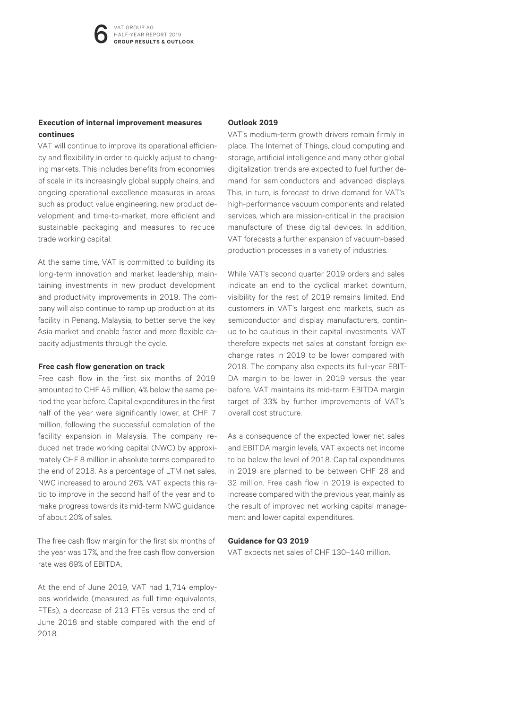### **Execution of internal improvement measures continues**

VAT will continue to improve its operational efficiency and flexibility in order to quickly adjust to changing markets. This includes benefits from economies of scale in its increasingly global supply chains, and ongoing operational excellence measures in areas such as product value engineering, new product development and time-to-market, more efficient and sustainable packaging and measures to reduce trade working capital.

At the same time, VAT is committed to building its long-term innovation and market leadership, maintaining investments in new product development and productivity improvements in 2019. The company will also continue to ramp up production at its facility in Penang, Malaysia, to better serve the key Asia market and enable faster and more flexible capacity adjustments through the cycle.

### **Free cash flow generation on track**

Free cash flow in the first six months of 2019 amounted to CHF 45 million, 4% below the same period the year before. Capital expenditures in the first half of the year were significantly lower, at CHF 7 million, following the successful completion of the facility expansion in Malaysia. The company reduced net trade working capital (NWC) by approximately CHF 8 million in absolute terms compared to the end of 2018. As a percentage of LTM net sales, NWC increased to around 26%. VAT expects this ratio to improve in the second half of the year and to make progress towards its mid-term NWC guidance of about 20% of sales.

The free cash flow margin for the first six months of the year was 17%, and the free cash flow conversion rate was 69% of EBITDA.

At the end of June 2019, VAT had 1,714 employees worldwide (measured as full time equivalents, FTEs), a decrease of 213 FTEs versus the end of June 2018 and stable compared with the end of 2018.

### **Outlook 2019**

VAT's medium-term growth drivers remain firmly in place. The Internet of Things, cloud computing and storage, artificial intelligence and many other global digitalization trends are expected to fuel further demand for semiconductors and advanced displays. This, in turn, is forecast to drive demand for VAT's high-performance vacuum components and related services, which are mission-critical in the precision manufacture of these digital devices. In addition, VAT forecasts a further expansion of vacuum-based production processes in a variety of industries.

While VAT's second quarter 2019 orders and sales indicate an end to the cyclical market downturn, visibility for the rest of 2019 remains limited. End customers in VAT's largest end markets, such as semiconductor and display manufacturers, continue to be cautious in their capital investments. VAT therefore expects net sales at constant foreign exchange rates in 2019 to be lower compared with 2018. The company also expects its full-year EBIT-DA margin to be lower in 2019 versus the year before. VAT maintains its mid-term EBITDA margin target of 33% by further improvements of VAT's overall cost structure.

As a consequence of the expected lower net sales and EBITDA margin levels, VAT expects net income to be below the level of 2018. Capital expenditures in 2019 are planned to be between CHF 28 and 32 million. Free cash flow in 2019 is expected to increase compared with the previous year, mainly as the result of improved net working capital management and lower capital expenditures.

### **Guidance for Q3 2019**

VAT expects net sales of CHF 130–140 million.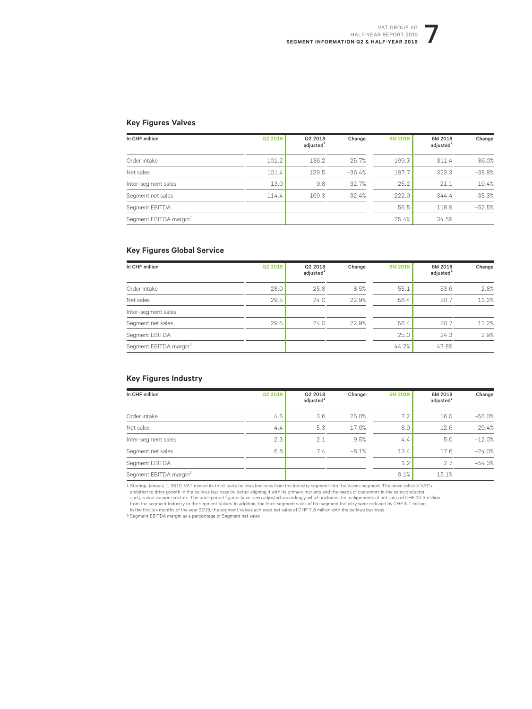### VAT GROUP AG HALF-YEAR REPORT 2019 **SEGMENT INFORMATION Q2 & HALF-YEAR 2019**

### **Key Figures Valves**

| In CHF million                     | Q2 2019 | Q2 2018<br>adjusted <sup>1</sup> | Change   | 6M 2019 | 6M 2018<br>adjusted <sup>1</sup> | Change   |
|------------------------------------|---------|----------------------------------|----------|---------|----------------------------------|----------|
| Order intake                       | 101.2   | 136.2                            | $-25.7%$ | 199.3   | 311.4                            | $-36.0%$ |
| Net sales                          | 101.4   | 159.5                            | $-36.4%$ | 197.7   | 323.3                            | $-38.8%$ |
| Inter-segment sales                | 13.0    | 9.8                              | 32.7%    | 25.2    | 21.1                             | 19.4%    |
| Segment net sales                  | 114.4   | 169.3                            | $-32.4%$ | 222.9   | 344.4                            | $-35.3%$ |
| Segment EBITDA                     |         |                                  |          | 56.5    | 118.9                            | $-52.5%$ |
| Segment EBITDA margin <sup>2</sup> |         |                                  |          | 25.4%   | 34.5%                            |          |

### **Key Figures Global Service**

| In CHF million                     | Q2 2019 | Q2 2018<br>adjusted <sup>1</sup> | Change | 6M 2019 | 6M 2018<br>adjusted <sup>1</sup> | Change |
|------------------------------------|---------|----------------------------------|--------|---------|----------------------------------|--------|
| Order intake                       | 28.0    | 25.8                             | 8.5%   | 55.1    | 53.6                             | 2.8%   |
| Net sales                          | 29.5    | 24.0                             | 22.9%  | 56.4    | 50.7                             | 11.2%  |
| Inter-segment sales                |         |                                  |        |         |                                  |        |
| Segment net sales                  | 29.5    | 24.0                             | 22.9%  | 56.4    | 50.7                             | 11.2%  |
| Segment EBITDA                     |         |                                  |        | 25.0    | 24.3                             | 2.9%   |
| Segment EBITDA margin <sup>2</sup> |         |                                  |        | 44.2%   | 47.8%                            |        |

### **Key Figures Industry**

| In CHF million                     | Q2 2019 | Q2 2018<br>adjusted <sup>1</sup> | Change   | 6M 2019 | 6M 2018<br>adjusted <sup>1</sup> | Change   |
|------------------------------------|---------|----------------------------------|----------|---------|----------------------------------|----------|
| Order intake                       | 4.5     | 3.6                              | 25.0%    | 7.2     | 16.0                             | $-55.0%$ |
| Net sales                          | 4.4     | 5.3                              | $-17.0%$ | 8.9     | 12.6                             | $-29.4%$ |
| Inter-segment sales                | 2.3     | 2.1                              | 9.5%     | 4.4     | 5.0                              | $-12.0%$ |
| Segment net sales                  | 6.8     | 7.4                              | $-8.1%$  | 13.4    | 17.6                             | $-24.0%$ |
| Segment EBITDA                     |         |                                  |          | 1.2     | 2.7                              | $-54.3%$ |
| Segment EBITDA margin <sup>2</sup> |         |                                  |          | 9.1%    | 15.1%                            |          |

1 Starting January 1, 2019, VAT moved its third-party bellows business from the Industry segment into the Valves segment. The move reflects VAT's<br>ambition to dive growth in the bellows business by better aligning it with i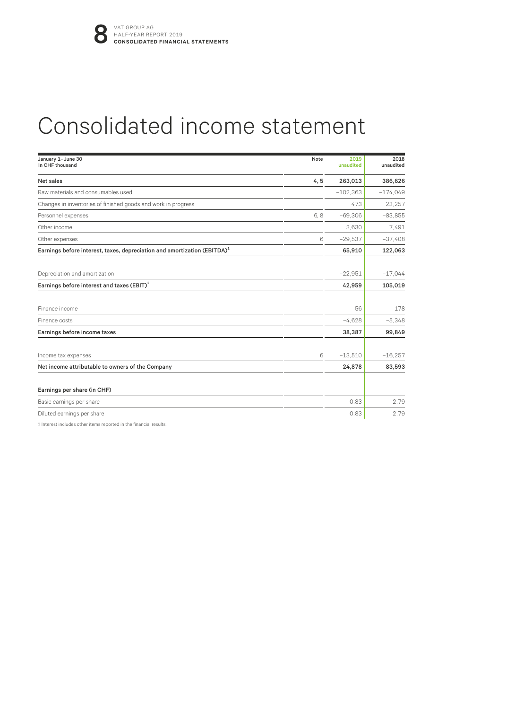# Consolidated income statement

| January 1-June 30<br>In CHF thousand                                                 | Note | 2019<br>unaudited | 2018<br>unaudited |
|--------------------------------------------------------------------------------------|------|-------------------|-------------------|
| Net sales                                                                            | 4, 5 | 263,013           | 386,626           |
| Raw materials and consumables used                                                   |      | $-102.363$        | $-174.049$        |
| Changes in inventories of finished goods and work in progress                        |      | 473               | 23,257            |
| Personnel expenses                                                                   | 6,8  | $-69,306$         | $-83,855$         |
| Other income                                                                         |      | 3,630             | 7.491             |
| Other expenses                                                                       | 6    | $-29.537$         | $-37,408$         |
| Earnings before interest, taxes, depreciation and amortization (EBITDA) <sup>1</sup> |      | 65,910            | 122,063           |
| Depreciation and amortization                                                        |      | $-22,951$         | $-17.044$         |
| Earnings before interest and taxes $(EBIT)^1$                                        |      | 42,959            | 105,019           |
| Finance income                                                                       |      | 56                | 178               |
| Finance costs                                                                        |      | $-4,628$          | $-5,348$          |
| Earnings before income taxes                                                         |      | 38,387            | 99,849            |
| Income tax expenses                                                                  | 6    | $-13,510$         | $-16,257$         |
| Net income attributable to owners of the Company                                     |      | 24,878            | 83,593            |
| Earnings per share (in CHF)                                                          |      |                   |                   |
| Basic earnings per share                                                             |      | 0.83              | 2.79              |
| Diluted earnings per share                                                           |      | 0.83              | 2.79              |

1 Interest includes other items reported in the financial results.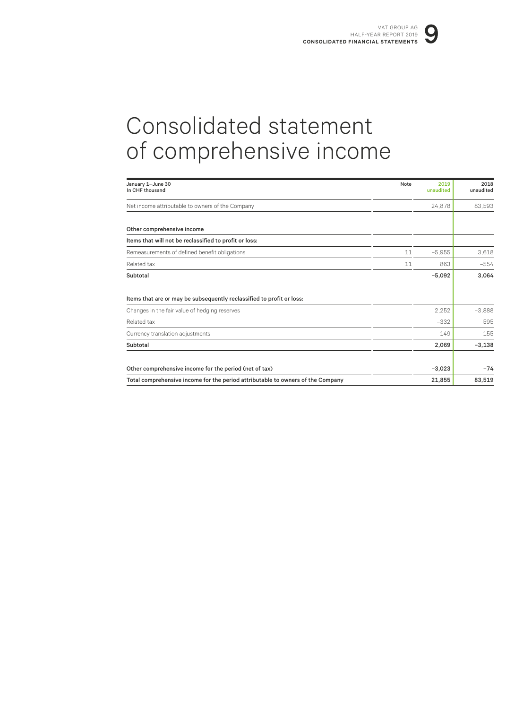# Consolidated statement of comprehensive income

| January 1-June 30<br>In CHF thousand                                                                                   | Note | 2019<br>unaudited | 2018<br>unaudited |
|------------------------------------------------------------------------------------------------------------------------|------|-------------------|-------------------|
| Net income attributable to owners of the Company                                                                       |      | 24,878            | 83,593            |
| Other comprehensive income                                                                                             |      |                   |                   |
| Items that will not be reclassified to profit or loss:                                                                 |      |                   |                   |
| Remeasurements of defined benefit obligations                                                                          | 11   | $-5.955$          | 3,618             |
| Related tax                                                                                                            | 11   | 863               | $-554$            |
| Subtotal                                                                                                               |      | $-5,092$          | 3,064             |
| Items that are or may be subsequently reclassified to profit or loss:<br>Changes in the fair value of hedging reserves |      | 2.252             | $-3,888$          |
| Related tax                                                                                                            |      | $-332$            | 595               |
| Currency translation adjustments                                                                                       |      | 149               | 155               |
| Subtotal                                                                                                               |      | 2,069             | $-3,138$          |
| Other comprehensive income for the period (net of tax)                                                                 |      | $-3,023$          | $-74$             |
| Total comprehensive income for the period attributable to owners of the Company                                        |      | 21,855            | 83,519            |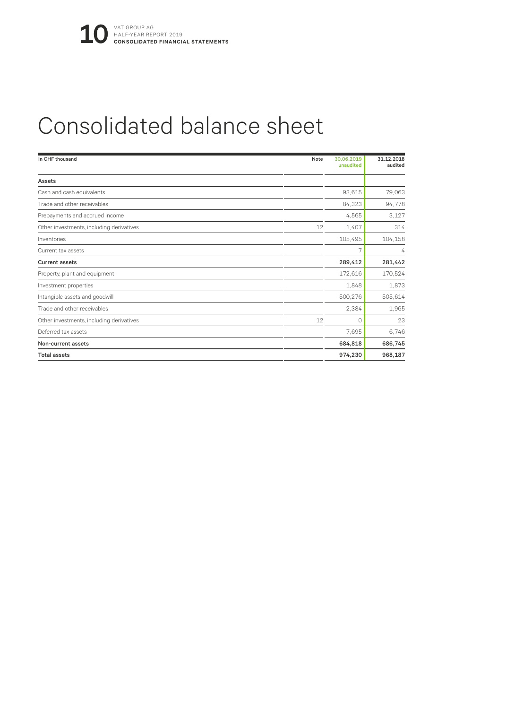# Consolidated balance sheet

| In CHF thousand                          | Note | 30.06.2019<br>unaudited | 31.12.2018<br>audited |
|------------------------------------------|------|-------------------------|-----------------------|
| Assets                                   |      |                         |                       |
| Cash and cash equivalents                |      | 93,615                  | 79,063                |
| Trade and other receivables              |      | 84,323                  | 94,778                |
| Prepayments and accrued income           |      | 4,565                   | 3,127                 |
| Other investments, including derivatives | 12   | 1,407                   | 314                   |
| Inventories                              |      | 105,495                 | 104,158               |
| Current tax assets                       |      | 7                       | 4                     |
| <b>Current assets</b>                    |      | 289,412                 | 281,442               |
| Property, plant and equipment            |      | 172,616                 | 170,524               |
| Investment properties                    |      | 1,848                   | 1,873                 |
| Intangible assets and goodwill           |      | 500,276                 | 505,614               |
| Trade and other receivables              |      | 2,384                   | 1,965                 |
| Other investments, including derivatives | 12   | $\Omega$                | 23                    |
| Deferred tax assets                      |      | 7.695                   | 6,746                 |
| Non-current assets                       |      | 684,818                 | 686,745               |
| <b>Total assets</b>                      |      | 974,230                 | 968,187               |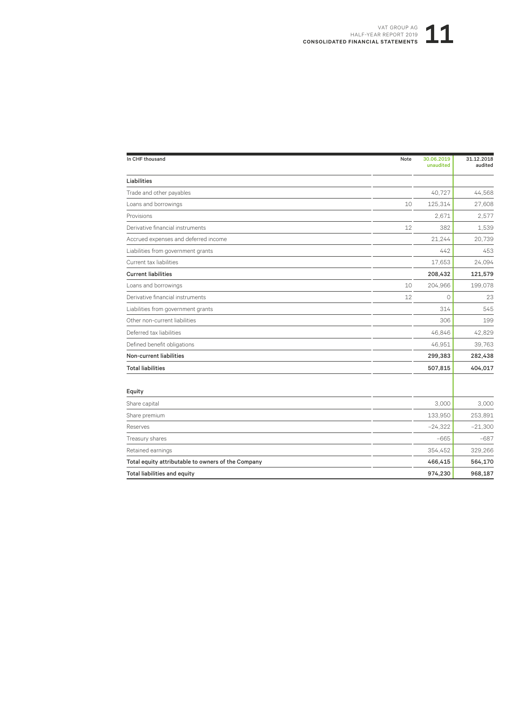### VAT GROUP AG<br>R REPORT 2019<br>**STATEMENTS** HALF-YEAR REPORT 2019 **CONSOLIDATED FINANCIAL STATEMENTS**

| In CHF thousand                                    | Note | 30.06.2019<br>unaudited | 31.12.2018<br>audited |
|----------------------------------------------------|------|-------------------------|-----------------------|
| Liabilities                                        |      |                         |                       |
| Trade and other payables                           |      | 40,727                  | 44,568                |
| Loans and borrowings                               | 10   | 125,314                 | 27,608                |
| Provisions                                         |      | 2,671                   | 2,577                 |
| Derivative financial instruments                   | 12   | 382                     | 1,539                 |
| Accrued expenses and deferred income               |      | 21,244                  | 20,739                |
| Liabilities from government grants                 |      | 442                     | 453                   |
| Current tax liabilities                            |      | 17.653                  | 24,094                |
| <b>Current liabilities</b>                         |      | 208,432                 | 121,579               |
| Loans and borrowings                               | 10   | 204,966                 | 199,078               |
| Derivative financial instruments                   | 12   | 0                       | 23                    |
| Liabilities from government grants                 |      | 314                     | 545                   |
| Other non-current liabilities                      |      | 306                     | 199                   |
| Deferred tax liabilities                           |      | 46,846                  | 42,829                |
| Defined benefit obligations                        |      | 46.951                  | 39,763                |
| Non-current liabilities                            |      | 299,383                 | 282,438               |
| <b>Total liabilities</b>                           |      | 507,815                 | 404,017               |
| Equity                                             |      |                         |                       |
| Share capital                                      |      | 3,000                   | 3,000                 |
| Share premium                                      |      | 133,950                 | 253,891               |
| Reserves                                           |      | $-24,322$               | $-21,300$             |
| Treasury shares                                    |      | $-665$                  | $-687$                |
| Retained earnings                                  |      | 354,452                 | 329,266               |
| Total equity attributable to owners of the Company |      | 466,415                 | 564,170               |
| <b>Total liabilities and equity</b>                |      | 974,230                 | 968,187               |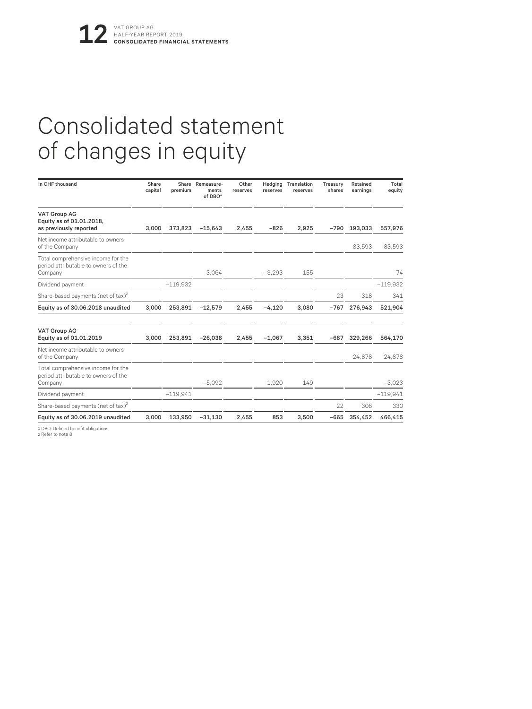# Consolidated statement of changes in equity

| In CHF thousand                                                                       | Share<br>capital | premium    | Share Remeasure-<br>ments<br>of $DBO1$ | Other<br>reserves | Hedging<br>reserves | Translation<br>reserves | Treasury<br>shares | Retained<br>earnings | Total<br>equity |
|---------------------------------------------------------------------------------------|------------------|------------|----------------------------------------|-------------------|---------------------|-------------------------|--------------------|----------------------|-----------------|
| <b>VAT Group AG</b><br>Equity as of 01.01.2018,<br>as previously reported             | 3.000            | 373.823    | $-15.643$                              | 2,455             | $-826$              | 2.925                   | $-790$             | 193,033              | 557,976         |
| Net income attributable to owners<br>of the Company                                   |                  |            |                                        |                   |                     |                         |                    | 83,593               | 83,593          |
| Total comprehensive income for the<br>period attributable to owners of the<br>Company |                  |            | 3.064                                  |                   | $-3.293$            | 155                     |                    |                      | $-74$           |
| Dividend payment                                                                      |                  | $-119.932$ |                                        |                   |                     |                         |                    |                      | $-119.932$      |
| Share-based payments (net of tax) <sup>2</sup>                                        |                  |            |                                        |                   |                     |                         | 23                 | 318                  | 341             |
| Equity as of 30.06.2018 unaudited                                                     | 3,000            | 253,891    | $-12,579$                              | 2,455             | $-4,120$            | 3,080                   | $-767$             | 276,943              | 521,904         |
| <b>VAT Group AG</b><br>Equity as of 01.01.2019                                        | 3.000            | 253.891    | $-26.038$                              | 2,455             | $-1.067$            | 3,351                   | $-687$             | 329,266              | 564,170         |
| Net income attributable to owners<br>of the Company                                   |                  |            |                                        |                   |                     |                         |                    | 24,878               | 24,878          |
| Total comprehensive income for the<br>period attributable to owners of the<br>Company |                  |            | $-5.092$                               |                   | 1.920               | 149                     |                    |                      | $-3.023$        |
| Dividend payment                                                                      |                  | $-119.941$ |                                        |                   |                     |                         |                    |                      | $-119.941$      |
| Share-based payments (net of tax) <sup>2</sup>                                        |                  |            |                                        |                   |                     |                         | 22                 | 308                  | 330             |
| Equity as of 30.06.2019 unaudited                                                     | 3.000            | 133.950    | $-31.130$                              | 2.455             | 853                 | 3.500                   | $-665$             | 354.452              | 466.415         |
| 1 DBO: Defined benefit obligations                                                    |                  |            |                                        |                   |                     |                         |                    |                      |                 |

2 Refer to note 8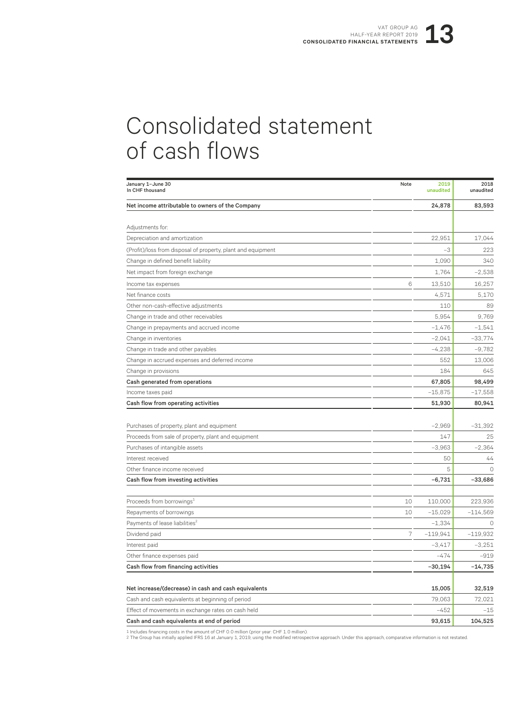# Consolidated statement of cash flows

| January 1-June 30<br>In CHF thousand                                                                   | Note | 2019<br>unaudited | 2018<br>unaudited |
|--------------------------------------------------------------------------------------------------------|------|-------------------|-------------------|
| Net income attributable to owners of the Company                                                       |      | 24,878            | 83,593            |
| Adjustments for:                                                                                       |      |                   |                   |
| Depreciation and amortization                                                                          |      | 22.951            | 17,044            |
| (Profit)/loss from disposal of property, plant and equipment                                           |      | -3                | 223               |
| Change in defined benefit liability                                                                    |      | 1,090             | 340               |
| Net impact from foreign exchange                                                                       |      | 1,764             | $-2,538$          |
| Income tax expenses                                                                                    | 6    | 13,510            | 16,257            |
| Net finance costs                                                                                      |      | 4,571             | 5,170             |
| Other non-cash-effective adjustments                                                                   |      | 110               | 89                |
| Change in trade and other receivables                                                                  |      | 5.954             | 9.769             |
| Change in prepayments and accrued income                                                               |      | $-1,476$          | $-1,541$          |
| Change in inventories                                                                                  |      | $-2.041$          | $-33,774$         |
| Change in trade and other payables                                                                     |      | $-4,238$          | $-9,782$          |
| Change in accrued expenses and deferred income                                                         |      | 552               | 13,006            |
| Change in provisions                                                                                   |      | 184               | 645               |
| Cash generated from operations                                                                         |      | 67,805            | 98,499            |
| Income taxes paid                                                                                      |      | $-15,875$         | $-17,558$         |
| Cash flow from operating activities                                                                    |      | 51,930            | 80,941            |
|                                                                                                        |      |                   |                   |
| Purchases of property, plant and equipment                                                             |      | $-2,969$          | $-31,392$         |
| Proceeds from sale of property, plant and equipment                                                    |      | 147               | 25                |
| Purchases of intangible assets                                                                         |      | $-3,963$          | $-2,364$          |
| Interest received                                                                                      |      | 50                | 44                |
| Other finance income received                                                                          |      | 5                 | $\circ$           |
| Cash flow from investing activities                                                                    |      | $-6,731$          | $-33,686$         |
| Proceeds from borrowings <sup>1</sup>                                                                  | 10   | 110,000           | 223,936           |
| Repayments of borrowings                                                                               | 10   | $-15,029$         | $-114,569$        |
| Payments of lease liabilities <sup>2</sup>                                                             |      | $-1,334$          | $\circ$           |
| Dividend paid                                                                                          | 7    | $-119,941$        | $-119,932$        |
| Interest paid                                                                                          |      | $-3,417$          | $-3,251$          |
| Other finance expenses paid                                                                            |      | $-474$            | $-919$            |
| Cash flow from financing activities                                                                    |      | $-30,194$         | $-14,735$         |
|                                                                                                        |      | 15,005            |                   |
| Net increase/(decrease) in cash and cash equivalents                                                   |      |                   | 32,519<br>72,021  |
| Cash and cash equivalents at beginning of period<br>Effect of movements in exchange rates on cash held |      | 79,063<br>$-452$  | $-15$             |
|                                                                                                        |      | 93,615            | 104,525           |
| Cash and cash equivalents at end of period                                                             |      |                   |                   |

1 Includes financing costs in the amount of CHF 0.0 million (prior year: CHF 1.0 million).<br>2 The Group has initially applied IFRS 16 at January 1, 2019, using the modified retrospective approach. Under this approach, compa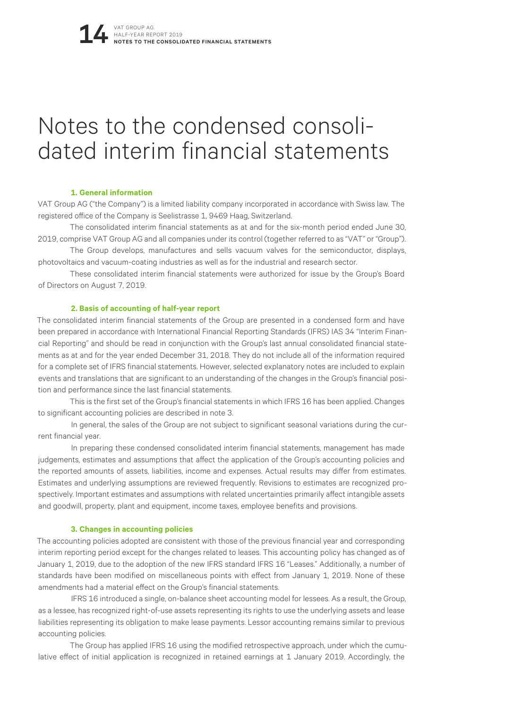# Notes to the condensed consoli- dated interim financial statements

### **1. General information**

VAT Group AG ("the Company") is a limited liability company incorporated in accordance with Swiss law. The registered office of the Company is Seelistrasse 1, 9469 Haag, Switzerland.

The consolidated interim financial statements as at and for the six-month period ended June 30, 2019, comprise VAT Group AG and all companies under its control (together referred to as "VAT" or "Group").

The Group develops, manufactures and sells vacuum valves for the semiconductor, displays, photovoltaics and vacuum-coating industries as well as for the industrial and research sector.

These consolidated interim financial statements were authorized for issue by the Group's Board of Directors on August 7, 2019.

### **2. Basis of accounting of half-year report**

The consolidated interim financial statements of the Group are presented in a condensed form and have been prepared in accordance with International Financial Reporting Standards (IFRS) IAS 34 "Interim Financial Reporting" and should be read in conjunction with the Group's last annual consolidated financial statements as at and for the year ended December 31, 2018. They do not include all of the information required for a complete set of IFRS financial statements. However, selected explanatory notes are included to explain events and translations that are significant to an understanding of the changes in the Group's financial position and performance since the last financial statements.

This is the first set of the Group's financial statements in which IFRS 16 has been applied. Changes to significant accounting policies are described in note 3.

In general, the sales of the Group are not subject to significant seasonal variations during the current financial year.

In preparing these condensed consolidated interim financial statements, management has made judgements, estimates and assumptions that affect the application of the Group's accounting policies and the reported amounts of assets, liabilities, income and expenses. Actual results may differ from estimates. Estimates and underlying assumptions are reviewed frequently. Revisions to estimates are recognized prospectively. Important estimates and assumptions with related uncertainties primarily affect intangible assets and goodwill, property, plant and equipment, income taxes, employee benefits and provisions.

### **3. Changes in accounting policies**

The accounting policies adopted are consistent with those of the previous financial year and corresponding interim reporting period except for the changes related to leases. This accounting policy has changed as of January 1, 2019, due to the adoption of the new IFRS standard IFRS 16 "Leases." Additionally, a number of standards have been modified on miscellaneous points with effect from January 1, 2019. None of these amendments had a material effect on the Group's financial statements.

IFRS 16 introduced a single, on-balance sheet accounting model for lessees. As a result, the Group, as a lessee, has recognized right-of-use assets representing its rights to use the underlying assets and lease liabilities representing its obligation to make lease payments. Lessor accounting remains similar to previous accounting policies.

The Group has applied IFRS 16 using the modified retrospective approach, under which the cumulative effect of initial application is recognized in retained earnings at 1 January 2019. Accordingly, the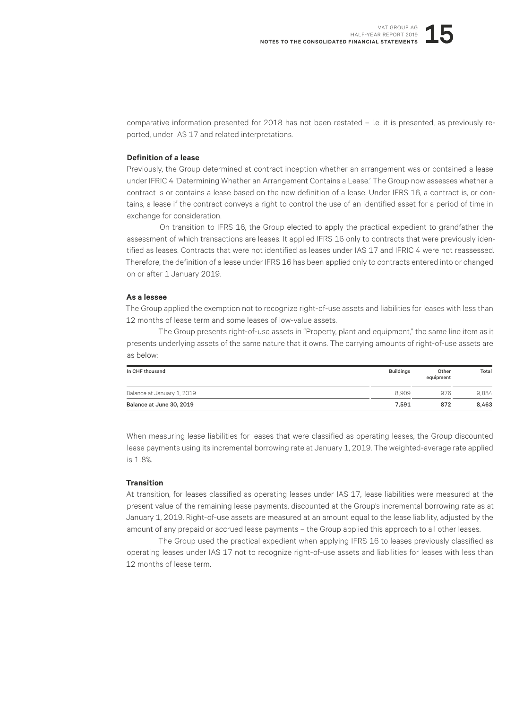comparative information presented for 2018 has not been restated – i.e. it is presented, as previously reported, under IAS 17 and related interpretations.

### **Definition of a lease**

Previously, the Group determined at contract inception whether an arrangement was or contained a lease under IFRIC 4 'Determining Whether an Arrangement Contains a Lease.' The Group now assesses whether a contract is or contains a lease based on the new definition of a lease. Under IFRS 16, a contract is, or contains, a lease if the contract conveys a right to control the use of an identified asset for a period of time in exchange for consideration.

On transition to IFRS 16, the Group elected to apply the practical expedient to grandfather the assessment of which transactions are leases. It applied IFRS 16 only to contracts that were previously identified as leases. Contracts that were not identified as leases under IAS 17 and IFRIC 4 were not reassessed. Therefore, the definition of a lease under IFRS 16 has been applied only to contracts entered into or changed on or after 1 January 2019.

### **As a lessee**

The Group applied the exemption not to recognize right-of-use assets and liabilities for leases with less than 12 months of lease term and some leases of low-value assets.

The Group presents right-of-use assets in "Property, plant and equipment," the same line item as it presents underlying assets of the same nature that it owns. The carrying amounts of right-of-use assets are as below:

| In CHF thousand            | <b>Buildings</b> | Other<br>equipment | Total |
|----------------------------|------------------|--------------------|-------|
| Balance at January 1, 2019 | 8.909            | 976                | 9.884 |
| Balance at June 30, 2019   | 7.591            | 872                | 8.463 |

When measuring lease liabilities for leases that were classified as operating leases, the Group discounted lease payments using its incremental borrowing rate at January 1, 2019. The weighted-average rate applied is 1.8%.

### **Transition**

At transition, for leases classified as operating leases under IAS 17, lease liabilities were measured at the present value of the remaining lease payments, discounted at the Group's incremental borrowing rate as at January 1, 2019. Right-of-use assets are measured at an amount equal to the lease liability, adjusted by the amount of any prepaid or accrued lease payments – the Group applied this approach to all other leases.

The Group used the practical expedient when applying IFRS 16 to leases previously classified as operating leases under IAS 17 not to recognize right-of-use assets and liabilities for leases with less than 12 months of lease term.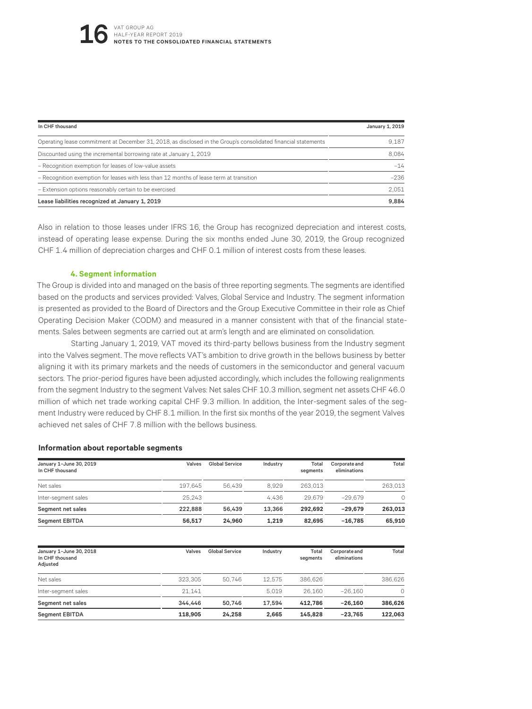| In CHF thousand                                                                                                | January 1, 2019 |
|----------------------------------------------------------------------------------------------------------------|-----------------|
| Operating lease commitment at December 31, 2018, as disclosed in the Group's consolidated financial statements | 9.187           |
| Discounted using the incremental borrowing rate at January 1, 2019                                             | 8.084           |
| - Recognition exemption for leases of low-value assets                                                         | $-14$           |
| - Recognition exemption for leases with less than 12 months of lease term at transition                        | $-236$          |
| - Extension options reasonably certain to be exercised                                                         | 2.051           |
| Lease liabilities recognized at January 1, 2019                                                                | 9.884           |

Also in relation to those leases under IFRS 16, the Group has recognized depreciation and interest costs, instead of operating lease expense. During the six months ended June 30, 2019, the Group recognized CHF 1.4 million of depreciation charges and CHF 0.1 million of interest costs from these leases.

### **4. Segment information**

The Group is divided into and managed on the basis of three reporting segments. The segments are identified based on the products and services provided: Valves, Global Service and Industry. The segment information is presented as provided to the Board of Directors and the Group Executive Committee in their role as Chief Operating Decision Maker (CODM) and measured in a manner consistent with that of the financial statements. Sales between segments are carried out at arm's length and are eliminated on consolidation.

Starting January 1, 2019, VAT moved its third-party bellows business from the Industry segment into the Valves segment. The move reflects VAT's ambition to drive growth in the bellows business by better aligning it with its primary markets and the needs of customers in the semiconductor and general vacuum sectors. The prior-period figures have been adjusted accordingly, which includes the following realignments from the segment Industry to the segment Valves: Net sales CHF 10.3 million, segment net assets CHF 46.0 million of which net trade working capital CHF 9.3 million. In addition, the Inter-segment sales of the segment Industry were reduced by CHF 8.1 million. In the first six months of the year 2019, the segment Valves achieved net sales of CHF 7.8 million with the bellows business.

### **Information about reportable segments**

| January 1-June 30, 2019<br>In CHF thousand | Valves  | Global Service | Industry | Total<br>seaments | Corporate and<br>eliminations | Total    |
|--------------------------------------------|---------|----------------|----------|-------------------|-------------------------------|----------|
| Net sales                                  | 197.645 | 56.439         | 8.929    | 263.013           |                               | 263.013  |
| Inter-segment sales                        | 25.243  |                | 4.436    | 29.679            | $-29.679$                     | $\Omega$ |
| Segment net sales                          | 222.888 | 56.439         | 13.366   | 292.692           | $-29.679$                     | 263.013  |
| <b>Segment EBITDA</b>                      | 56.517  | 24.960         | 1.219    | 82.695            | $-16.785$                     | 65.910   |

| January 1-June 30, 2018<br>In CHF thousand<br>Adjusted | Valves  | <b>Global Service</b> | Industry | Total<br>seaments | Corporate and<br>eliminations | Total   |
|--------------------------------------------------------|---------|-----------------------|----------|-------------------|-------------------------------|---------|
| Net sales                                              | 323.305 | 50.746                | 12.575   | 386.626           |                               | 386.626 |
| Inter-segment sales                                    | 21.141  |                       | 5.019    | 26.160            | $-26.160$                     | $\cap$  |
| Segment net sales                                      | 344.446 | 50.746                | 17.594   | 412.786           | $-26.160$                     | 386,626 |
| <b>Segment EBITDA</b>                                  | 118,905 | 24.258                | 2.665    | 145.828           | $-23.765$                     | 122.063 |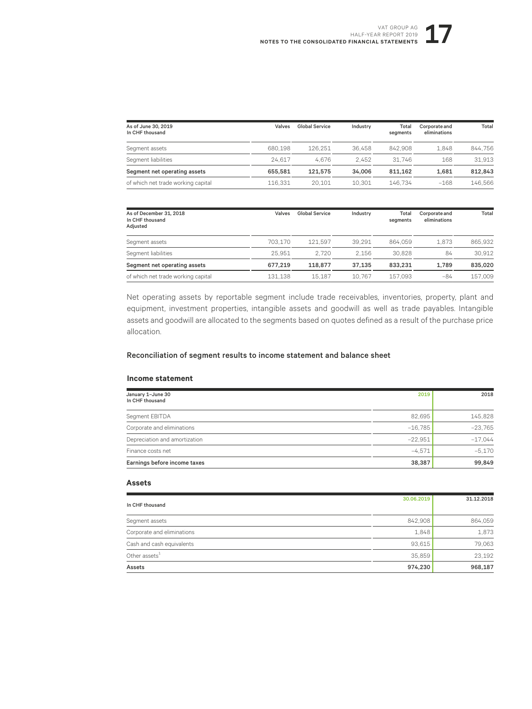| As of June 30, 2019<br>In CHF thousand | Valves  | <b>Global Service</b> | Industry | Total<br>seaments | Corporate and<br>eliminations | Total   |
|----------------------------------------|---------|-----------------------|----------|-------------------|-------------------------------|---------|
| Segment assets                         | 680.198 | 126.251               | 36.458   | 842.908           | 1.848                         | 844.756 |
| Segment liabilities                    | 24.617  | 4.676                 | 2.452    | 31.746            | 168                           | 31.913  |
| Segment net operating assets           | 655.581 | 121.575               | 34.006   | 811.162           | 1.681                         | 812.843 |
| of which net trade working capital     | 116.331 | 20.101                | 10.301   | 146.734           | $-168$                        | 146.566 |

| As of December 31, 2018<br>In CHF thousand<br>Adjusted | Valves  | Global Service | Industry | Total<br>segments | Corporate and<br>eliminations | Total   |
|--------------------------------------------------------|---------|----------------|----------|-------------------|-------------------------------|---------|
| Segment assets                                         | 703.170 | 121.597        | 39.291   | 864.059           | 1.873                         | 865.932 |
| Segment liabilities                                    | 25.951  | 2.720          | 2.156    | 30.828            | 84                            | 30.912  |
| Segment net operating assets                           | 677.219 | 118.877        | 37.135   | 833.231           | 1.789                         | 835.020 |
| of which net trade working capital                     | 131.138 | 15.187         | 10.767   | 157.093           | -84                           | 157.009 |

Net operating assets by reportable segment include trade receivables, inventories, property, plant and equipment, investment properties, intangible assets and goodwill as well as trade payables. Intangible assets and goodwill are allocated to the segments based on quotes defined as a result of the purchase price allocation.

### Reconciliation of segment results to income statement and balance sheet

### **Income statement**

| January 1-June 30<br>In CHF thousand | 2019      | 2018      |
|--------------------------------------|-----------|-----------|
| Segment EBITDA                       | 82,695    | 145,828   |
| Corporate and eliminations           | $-16.785$ | $-23.765$ |
| Depreciation and amortization        | $-22.951$ | $-17.044$ |
| Finance costs net                    | $-4.571$  | $-5.170$  |
| Earnings before income taxes         | 38.387    | 99,849    |

### **Assets**

| In CHF thousand            | 30.06.2019 | 31.12.2018 |
|----------------------------|------------|------------|
| Segment assets             | 842,908    | 864,059    |
| Corporate and eliminations | 1,848      | 1,873      |
| Cash and cash equivalents  | 93,615     | 79,063     |
| Other assets <sup>1</sup>  | 35,859     | 23,192     |
| Assets                     | 974,230    | 968,187    |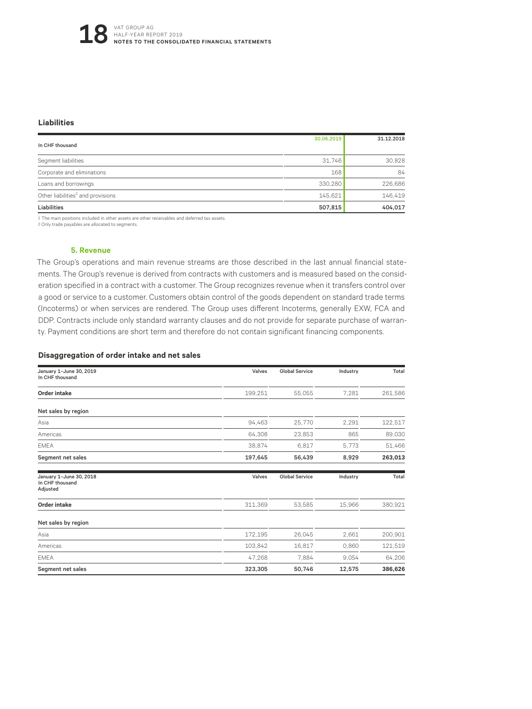### **Liabilities**

| In CHF thousand                               | 30.06.2019 | 31.12.2018 |
|-----------------------------------------------|------------|------------|
| Segment liabilities                           | 31,746     | 30,828     |
| Corporate and eliminations                    | 168        | 84         |
| Loans and borrowings                          | 330,280    | 226,686    |
| Other liabilities <sup>2</sup> and provisions | 145,621    | 146,419    |
| Liabilities                                   | 507,815    | 404,017    |

1 The main positions included in other assets are other receivables and deferred tax assets.

2 Only trade payables are allocated to segments.

### **5. Revenue**

The Group's operations and main revenue streams are those described in the last annual financial statements. The Group's revenue is derived from contracts with customers and is measured based on the consideration specified in a contract with a customer. The Group recognizes revenue when it transfers control over a good or service to a customer. Customers obtain control of the goods dependent on standard trade terms (Incoterms) or when services are rendered. The Group uses different Incoterms, generally EXW, FCA and DDP. Contracts include only standard warranty clauses and do not provide for separate purchase of warranty. Payment conditions are short term and therefore do not contain significant financing components.

### **Disaggregation of order intake and net sales**

| January 1-June 30, 2019<br>In CHF thousand             | Valves  | <b>Global Service</b> | Industry | Total   |
|--------------------------------------------------------|---------|-----------------------|----------|---------|
| Order intake                                           | 199,251 | 55,055                | 7,281    | 261,586 |
| Net sales by region                                    |         |                       |          |         |
| Asia                                                   | 94,463  | 25,770                | 2.291    | 122,517 |
| Americas                                               | 64,308  | 23,853                | 865      | 89,030  |
| <b>EMEA</b>                                            | 38,874  | 6.817                 | 5,773    | 51,466  |
| Segment net sales                                      | 197,645 | 56,439                | 8,929    | 263,013 |
| January 1-June 30, 2018<br>In CHF thousand<br>Adjusted | Valves  | <b>Global Service</b> | Industry | Total   |
| <b>Order intake</b>                                    | 311,369 | 53,585                | 15,966   | 380,921 |
| Net sales by region                                    |         |                       |          |         |
| Asia                                                   | 172,195 | 26,045                | 2,661    | 200,901 |
| Americas                                               | 103,842 | 16,817                | 0.860    | 121,519 |
| <b>EMEA</b>                                            | 47,268  | 7,884                 | 9.054    | 64,206  |
| Segment net sales                                      | 323,305 | 50,746                | 12,575   | 386,626 |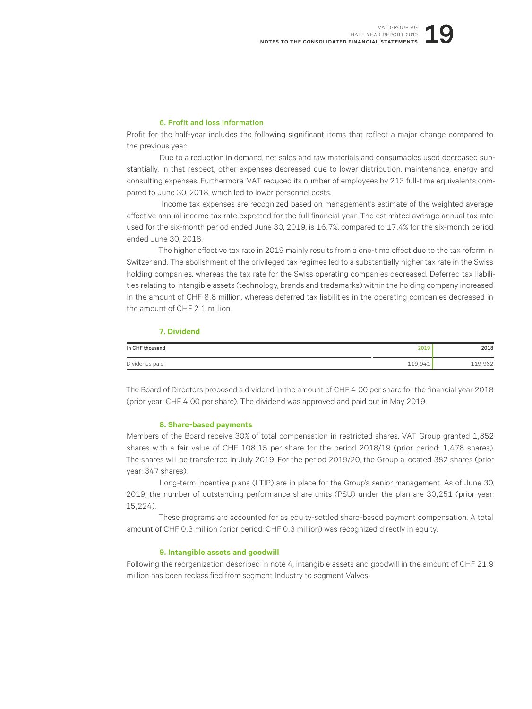### 6. Profit and loss information

Profit for the half-year includes the following significant items that reflect a major change compared to the previous year:

Due to a reduction in demand, net sales and raw materials and consumables used decreased substantially. In that respect, other expenses decreased due to lower distribution, maintenance, energy and consulting expenses. Furthermore, VAT reduced its number of employees by 213 full-time equivalents compared to June 30, 2018, which led to lower personnel costs.

Income tax expenses are recognized based on management's estimate of the weighted average effective annual income tax rate expected for the full financial year. The estimated average annual tax rate used for the six-month period ended June 30, 2019, is 16.7%, compared to 17.4% for the six-month period ended June 30, 2018.

The higher effective tax rate in 2019 mainly results from a one-time effect due to the tax reform in Switzerland. The abolishment of the privileged tax regimes led to a substantially higher tax rate in the Swiss holding companies, whereas the tax rate for the Swiss operating companies decreased. Deferred tax liabilities relating to intangible assets (technology, brands and trademarks) within the holding company increased in the amount of CHF 8.8 million, whereas deferred tax liabilities in the operating companies decreased in the amount of CHF 2.1 million.

### **7. Dividend**

| In CHF thousand | 2019    | 2018    |
|-----------------|---------|---------|
| Dividends paid  | 119,941 | 119,932 |

The Board of Directors proposed a dividend in the amount of CHF 4.00 per share for the financial year 2018 (prior year: CHF 4.00 per share). The dividend was approved and paid out in May 2019.

### **8. Share-based payments**

Members of the Board receive 30% of total compensation in restricted shares. VAT Group granted 1,852 shares with a fair value of CHF 108.15 per share for the period 2018/19 (prior period: 1,478 shares). The shares will be transferred in July 2019. For the period 2019/20, the Group allocated 382 shares (prior year: 347 shares).

Long-term incentive plans (LTIP) are in place for the Group's senior management. As of June 30, 2019, the number of outstanding performance share units (PSU) under the plan are 30,251 (prior year: 15,224).

These programs are accounted for as equity-settled share-based payment compensation. A total amount of CHF 0.3 million (prior period: CHF 0.3 million) was recognized directly in equity.

### **9. Intangible assets and goodwill**

Following the reorganization described in note 4, intangible assets and goodwill in the amount of CHF 21.9 million has been reclassified from segment Industry to segment Valves.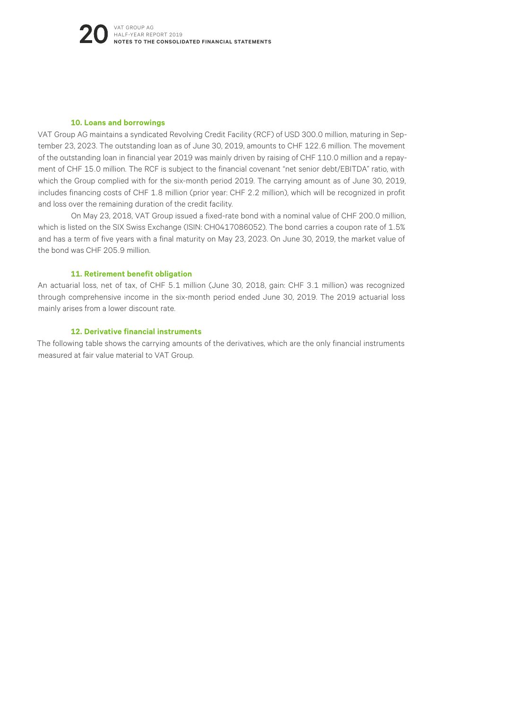### **10. Loans and borrowings**

VAT Group AG maintains a syndicated Revolving Credit Facility (RCF) of USD 300.0 million, maturing in September 23, 2023. The outstanding loan as of June 30, 2019, amounts to CHF 122.6 million. The movement of the outstanding loan in financial year 2019 was mainly driven by raising of CHF 110.0 million and a repayment of CHF 15.0 million. The RCF is subject to the financial covenant "net senior debt/EBITDA" ratio, with which the Group complied with for the six-month period 2019. The carrying amount as of June 30, 2019, includes financing costs of CHF 1.8 million (prior year: CHF 2.2 million), which will be recognized in profit and loss over the remaining duration of the credit facility.

On May 23, 2018, VAT Group issued a fixed-rate bond with a nominal value of CHF 200.0 million, which is listed on the SIX Swiss Exchange (ISIN: CH0417086052). The bond carries a coupon rate of 1.5% and has a term of five years with a final maturity on May 23, 2023. On June 30, 2019, the market value of the bond was CHF 205.9 million.

### **11. Retirement benefit obligation**

An actuarial loss, net of tax, of CHF 5.1 million (June 30, 2018, gain: CHF 3.1 million) was recognized through comprehensive income in the six-month period ended June 30, 2019. The 2019 actuarial loss mainly arises from a lower discount rate.

### **12. Derivative financial instruments**

The following table shows the carrying amounts of the derivatives, which are the only financial instruments measured at fair value material to VAT Group.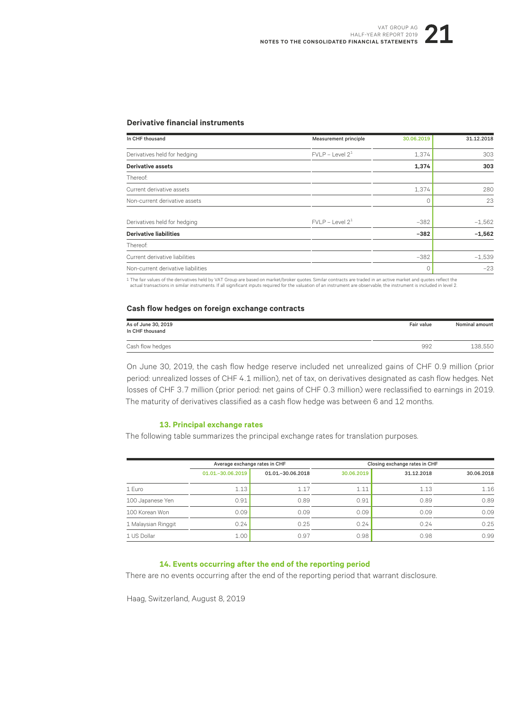### **Derivative financial instruments**

| In CHF thousand                    | Measurement principle | 30.06.2019 | 31.12.2018 |
|------------------------------------|-----------------------|------------|------------|
| Derivatives held for hedging       | $FVLP - Level 21$     | 1,374      | 303        |
| Derivative assets                  |                       | 1,374      | 303        |
| Thereof:                           |                       |            |            |
| Current derivative assets          |                       | 1,374      | 280        |
| Non-current derivative assets      |                       | Ω          | 23         |
| Derivatives held for hedging       | FVI P - I evel $2^1$  | $-382$     | $-1,562$   |
| <b>Derivative liabilities</b>      |                       | $-382$     | $-1,562$   |
| Thereof:                           |                       |            |            |
| Current derivative liabilities     |                       | $-382$     | $-1,539$   |
| Non-current derivative liabilities |                       |            | $-23$      |

1 The fair values of the derivatives held by VAT Group are based on market/broker quotes. Similar contracts are traded in an active market and quotes reflect the actual transactions in similar instruments. If all significant inputs required for the valuation of an instrument are observable, the instrument is included in level 2.

### **Cash flow hedges on foreign exchange contracts**

| As of June 30, 2019<br>In CHF thousand | Fair value | <b>Nominal amount</b> |
|----------------------------------------|------------|-----------------------|
| Cash flow hedges                       | 992        | 138,550               |

On June 30, 2019, the cash flow hedge reserve included net unrealized gains of CHF 0.9 million (prior period: unrealized losses of CHF 4.1 million), net of tax, on derivatives designated as cash flow hedges. Net losses of CHF 3.7 million (prior period: net gains of CHF 0.3 million) were reclassified to earnings in 2019. The maturity of derivatives classified as a cash flow hedge was between 6 and 12 months.

### **13. Principal exchange rates**

The following table summarizes the principal exchange rates for translation purposes.

|                     | Average exchange rates in CHF |                     | Closing exchange rates in CHF |            |            |
|---------------------|-------------------------------|---------------------|-------------------------------|------------|------------|
|                     | 01.01. - 30.06.2019           | 01.01. - 30.06.2018 | 30.06.2019                    | 31.12.2018 | 30.06.2018 |
| 1 Euro              | 1.13                          | 1.17                | 1.11                          | 1.13       | 1.16       |
| 100 Japanese Yen    | 0.91                          | 0.89                | 0.91                          | 0.89       | 0.89       |
| 100 Korean Won      | 0.09                          | 0.09                | 0.09                          | 0.09       | 0.09       |
| 1 Malaysian Ringgit | 0.24                          | 0.25                | 0.24                          | 0.24       | 0.25       |
| 1 US Dollar         | 1.00                          | 0.97                | 0.98                          | 0.98       | 0.99       |

### **14. Events occurring after the end of the reporting period**

There are no events occurring after the end of the reporting period that warrant disclosure.

Haag, Switzerland, August 8, 2019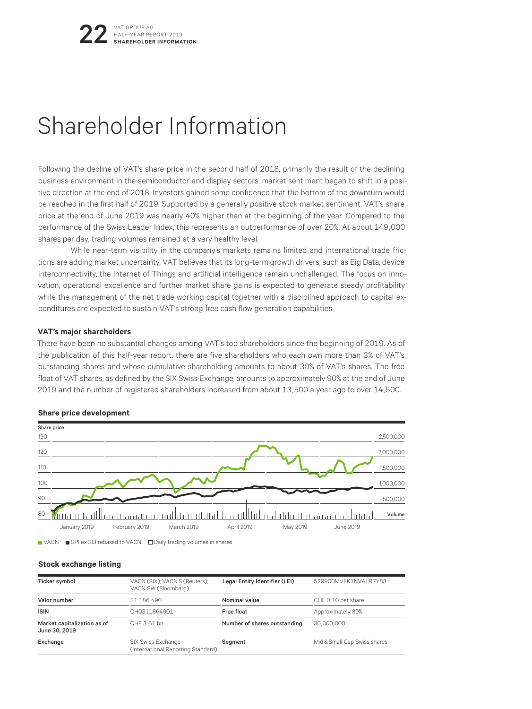# Shareholder Information

Following the decline of VAT's share price in the second half of 2018, primarily the result of the declining business environment in the semiconductor and display sectors, market sentiment began to shift in a positive direction at the end of 2018. Investors gained some confidence that the bottom of the downturn would be reached in the first half of 2019. Supported by a generally positive stock market sentiment, VAT's share price at the end of June 2019 was nearly 40% higher than at the beginning of the year. Compared to the performance of the Swiss Leader Index, this represents an outperformance of over 20%. At about 149,000 shares per day, trading volumes remained at a very healthy level.

While near-term visibility in the company's markets remains limited and international trade frictions are adding market uncertainty, VAT believes that its long-term growth drivers, such as Big Data, device interconnectivity, the Internet of Things and artificial intelligence remain unchallenged. The focus on innovation, operational excellence and further market share gains is expected to generate steady profitability while the management of the net trade working capital together with a disciplined approach to capital expenditures are expected to sustain VAT's strong free cash flow generation capabilities.

### **VAT's major shareholders**

There have been no substantial changes among VAT's top shareholders since the beginning of 2019. As of the publication of this half-year report, there are five shareholders who each own more than 3% of VAT's outstanding shares and whose cumulative shareholding amounts to about 30% of VAT's shares. The free float of VAT shares, as defined by the SIX Swiss Exchange, amounts to approximately 90% at the end of June 2019 and the number of registered shareholders increased from about 13,500 a year ago to over 14,500.



### **Share price development**

■ VACN ■ SPI ex SLI rebased to VACN Ⅲ Daily trading volumes in shares

### **Stock exchange listing**

| Ticker symbol                                | VACN (SIX); VACN.S (Reuters);<br>VACN SW (Bloomberg)     | Legal Entity Identifier (LEI) | 529900MVFK7NVALR7Y83         |
|----------------------------------------------|----------------------------------------------------------|-------------------------------|------------------------------|
| Valor number                                 | 31 186 490                                               | Nominal value                 | CHF 0.10 per share           |
| <b>ISIN</b>                                  | CH0311864901                                             | Free float                    | Approximately 89%            |
| Market capitalization as of<br>June 30, 2019 | CHF 3.61 bn                                              | Number of shares outstanding  | 30.000.000                   |
| Exchange                                     | SIX Swiss Exchange<br>(International Reporting Standard) | Segment                       | Mid & Small Cap Swiss shares |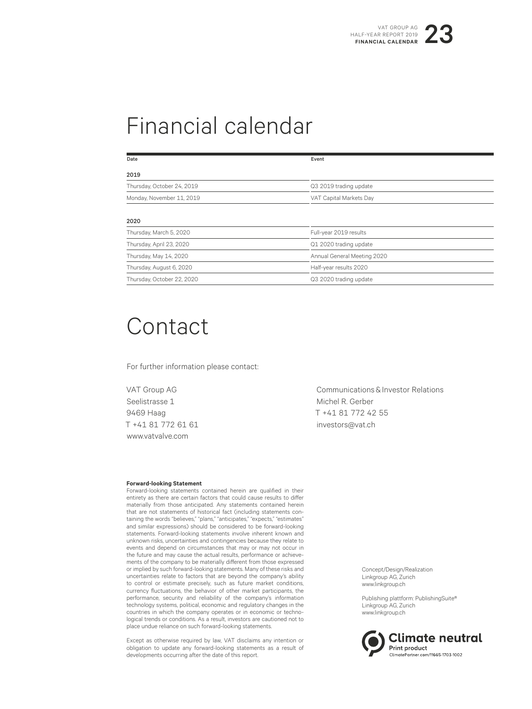# Financial calendar

| Date                       | Event                       |  |
|----------------------------|-----------------------------|--|
| 2019                       |                             |  |
| Thursday, October 24, 2019 | Q3 2019 trading update      |  |
| Monday, November 11, 2019  | VAT Capital Markets Day     |  |
| 2020                       |                             |  |
| Thursday, March 5, 2020    | Full-year 2019 results      |  |
| Thursday, April 23, 2020   | Q1 2020 trading update      |  |
| Thursday, May 14, 2020     | Annual General Meeting 2020 |  |
| Thursday, August 6, 2020   | Half-year results 2020      |  |
| Thursday, October 22, 2020 | Q3 2020 trading update      |  |

# Contact

For further information please contact:

VAT Group AG Seelistrasse 1 9469 Haag T +41 81 772 61 61 www.vatvalve.com

### **Forward-looking Statement**

Forward-looking statements contained herein are qualified in their entirety as there are certain factors that could cause results to differ materially from those anticipated. Any statements contained herein that are not statements of historical fact (including statements containing the words "believes," "plans," "anticipates," "expects," "estimates" and similar expressions) should be considered to be forward-looking statements. Forward-looking statements involve inherent known and unknown risks, uncertainties and contingencies because they relate to events and depend on circumstances that may or may not occur in the future and may cause the actual results, performance or achievements of the company to be materially different from those expressed or implied by such forward-looking statements. Many of these risks and uncertainties relate to factors that are beyond the company's ability to control or estimate precisely, such as future market conditions, currency fluctuations, the behavior of other market participants, the performance, security and reliability of the company's information technology systems, political, economic and regulatory changes in the countries in which the company operates or in economic or technological trends or conditions. As a result, investors are cautioned not to place undue reliance on such forward-looking statements.

Except as otherwise required by law, VAT disclaims any intention or obligation to update any forward-looking statements as a result of developments occurring after the date of this report.

Communications & Investor Relations Michel R. Gerber T +41 81 772 42 55 investors@vat.ch

> Concept/Design/Realization Linkgroup AG, Zurich www.linkgroup.ch

Publishing plattform: PublishingSuite® Linkgroup AG, Zurich www.linkgroup.ch